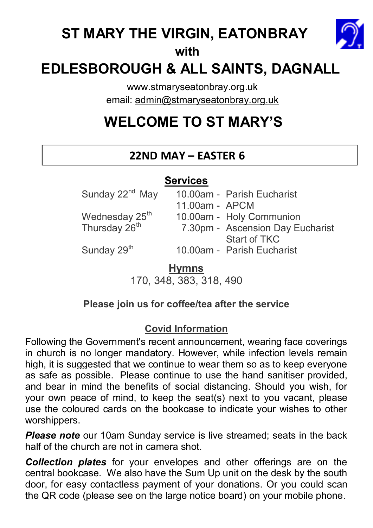## **ST MARY THE VIRGIN, EATONBRAY**



#### **with**

## **EDLESBOROUGH & ALL SAINTS, DAGNALL**

www.stmaryseatonbray.org.uk email: admin@stmaryseatonbray.org.uk

# **WELCOME TO ST MARY'S**

## **22ND MAY – EASTER 6**

## **Services**

Sunday  $22^{nd}$  May 10.00am - Parish Eucharist 11.00am - APCM Wednesday  $25^{th}$  10.00am - Holy Communion<br>Thursday  $26^{th}$  7.30pm - Ascension Day Eu 7.30pm - Ascension Day Eucharist

Start of TKC<br>Sunday 29<sup>th</sup> 10.00am - Parish Eucha 10.00am - Parish Eucharist

## **Hymns**

170, 348, 383, 318, 490

#### **Please join us for coffee/tea after the service**

## **Covid Information**

Following the Government's recent announcement, wearing face coverings in church is no longer mandatory. However, while infection levels remain high, it is suggested that we continue to wear them so as to keep everyone as safe as possible. Please continue to use the hand sanitiser provided, and bear in mind the benefits of social distancing. Should you wish, for your own peace of mind, to keep the seat(s) next to you vacant, please use the coloured cards on the bookcase to indicate your wishes to other worshippers.

**Please note** our 10am Sunday service is live streamed; seats in the back half of the church are not in camera shot.

*Collection plates* for your envelopes and other offerings are on the central bookcase. We also have the Sum Up unit on the desk by the south door, for easy contactless payment of your donations. Or you could scan the QR code (please see on the large notice board) on your mobile phone.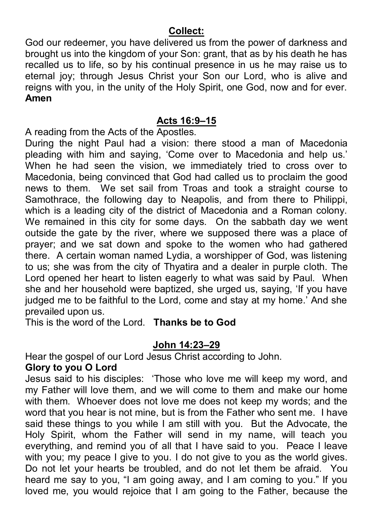#### **Collect:**

God our redeemer, you have delivered us from the power of darkness and brought us into the kingdom of your Son: grant, that as by his death he has recalled us to life, so by his continual presence in us he may raise us to eternal joy; through Jesus Christ your Son our Lord, who is alive and reigns with you, in the unity of the Holy Spirit, one God, now and for ever. **Amen** 

### **Acts 16:9–15**

A reading from the Acts of the Apostles.

During the night Paul had a vision: there stood a man of Macedonia pleading with him and saying, 'Come over to Macedonia and help us.' When he had seen the vision, we immediately tried to cross over to Macedonia, being convinced that God had called us to proclaim the good news to them. We set sail from Troas and took a straight course to Samothrace, the following day to Neapolis, and from there to Philippi, which is a leading city of the district of Macedonia and a Roman colony. We remained in this city for some days. On the sabbath day we went outside the gate by the river, where we supposed there was a place of prayer; and we sat down and spoke to the women who had gathered there. A certain woman named Lydia, a worshipper of God, was listening to us; she was from the city of Thyatira and a dealer in purple cloth. The Lord opened her heart to listen eagerly to what was said by Paul. When she and her household were baptized, she urged us, saying, 'If you have judged me to be faithful to the Lord, come and stay at my home.' And she prevailed upon us.

This is the word of the Lord. **Thanks be to God** 

#### **John 14:23–29**

Hear the gospel of our Lord Jesus Christ according to John.

#### **Glory to you O Lord**

Jesus said to his disciples: 'Those who love me will keep my word, and my Father will love them, and we will come to them and make our home with them. Whoever does not love me does not keep my words; and the word that you hear is not mine, but is from the Father who sent me. I have said these things to you while I am still with you. But the Advocate, the Holy Spirit, whom the Father will send in my name, will teach you everything, and remind you of all that I have said to you. Peace I leave with you; my peace I give to you. I do not give to you as the world gives. Do not let your hearts be troubled, and do not let them be afraid. You heard me say to you, "I am going away, and I am coming to you." If you loved me, you would rejoice that I am going to the Father, because the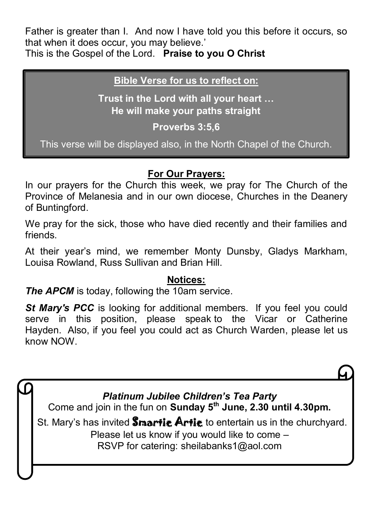Father is greater than I. And now I have told you this before it occurs, so that when it does occur, you may believe.'

This is the Gospel of the Lord. **Praise to you O Christ**

### **Bible Verse for us to reflect on:**

**Trust in the Lord with all your heart … He will make your paths straight** 

**Proverbs 3:5,6** 

This verse will be displayed also, in the North Chapel of the Church.

## **For Our Prayers:**

In our prayers for the Church this week, we pray for The Church of the Province of Melanesia and in our own diocese, Churches in the Deanery of Buntingford.

We pray for the sick, those who have died recently and their families and friends.

At their year's mind, we remember Monty Dunsby, Gladys Markham, Louisa Rowland, Russ Sullivan and Brian Hill.

## **Notices:**

*The APCM* is today, following the 10am service.

**St Mary's PCC** is looking for additional members. If you feel you could serve in this position, please speak to the Vicar or Catherine Hayden. Also, if you feel you could act as Church Warden, please let us know NOW.

*Platinum Jubilee Children's Tea Party* Come and join in the fun on **Sunday 5th June, 2.30 until 4.30pm.**  St. Mary's has invited **Smartig Artig** to entertain us in the churchyard. Please let us know if you would like to come – RSVP for catering: sheilabanks1@aol.com